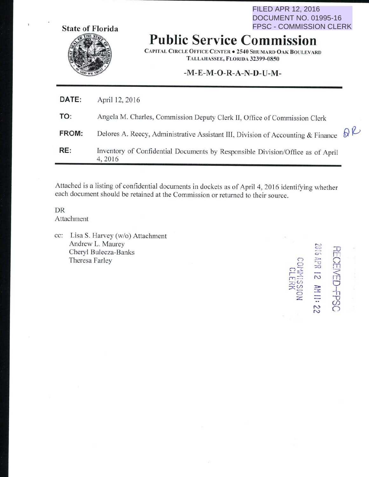FILED APR 12, 2016 DOCUMENT NO. 01995-16 FPSC - COMMISSION CLERK



# **Public Service Commission**

CAPITAL CIRCLE OFFICE CENTER . 2540 SHUMARD OAK BOULEVARD TALLAHASSEE, FLORIDA 32399-0850

### -**M-E-M -0-R-A-N-D-U-M-**

| RE:   | Inventory of Confidential Documents by Responsible Division/Office as of April<br>4, 2016 |              |
|-------|-------------------------------------------------------------------------------------------|--------------|
| FROM: | Delores A. Reecy, Administrative Assistant III, Division of Accounting & Finance          | $\partial P$ |
| TO:   | Angela M. Charles, Commission Deputy Clerk II, Office of Commission Clerk                 |              |
| DATE: | April 12, 2016                                                                            |              |

Attached is a listing of confidential documents in dockets as of April 4, 2016 identifying whether each document should be retained at the Commission or returned to their source.

DR Attachment

cc: Lisa S. Harvey (w/o) Attachment Andrew L. Maurey Cheryl Bulecza-Banks Theresa Farley

*0*   $\Box$  $\Box$ .-<sup>~</sup>  $m =$  $\pi$ :0 ::X:~  $\bigcirc$ z.  $\Box$  $\blacksquare$  $\frac{1}{2}$  0  $\frac{1}{2}$ Sed-O N **DSd+**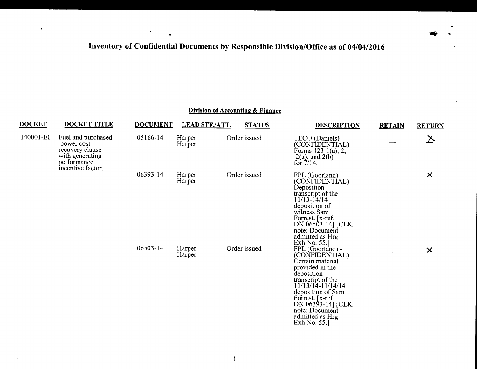$\blacksquare$ 

 $\bullet$ 

 $\sim$ 

 $\bullet$ 

....

## Division of Accounting & Finance

| <b>DOCKET</b> | <b>DOCKET TITLE</b>                                                                                        | <b>DOCUMENT</b> | <b>LEAD STF./ATT.</b> | <b>STATUS</b> | <b>DESCRIPTION</b>                                                                                                                                                                                                                                   | <b>RETAIN</b> | <b>RETURN</b>           |
|---------------|------------------------------------------------------------------------------------------------------------|-----------------|-----------------------|---------------|------------------------------------------------------------------------------------------------------------------------------------------------------------------------------------------------------------------------------------------------------|---------------|-------------------------|
| 140001-EI     | Fuel and purchased<br>power cost<br>recovery clause<br>with generating<br>performance<br>incentive factor. | 05166-14        | Harper<br>Harper      | Order issued  | TECO (Daniels) -<br>(CONFIDENTÍAL)<br>Forms 423-1(a), $2,7$<br>$2(a)$ , and $2(b)$<br>for $7/14$ .                                                                                                                                                   |               | $\times$                |
|               |                                                                                                            | 06393-14        | Harper<br>Harper      | Order issued  | FPL (Goorland) -<br>(CONFIDENTÍAL)<br>Deposition<br>transcript of the<br>$11/13 - 14/14$<br>deposition of<br>witness Sam<br>Forrest. [x-ref.]<br>DN 06503-14] [CLK<br>note: Document<br>admitted as Hrg<br>Exh No. 55.]                              |               | $\times$                |
|               |                                                                                                            | 06503-14        | Harper<br>Harper      | Order issued  | FPL (Goorland) -<br>(CONFIDENTÍAL)<br>Certain material<br>provided in the<br>deposition<br>transcript of the<br>11/13/14-11/14/14<br>deposition of Sam<br>Forrest. [x-ref.<br>DN 06393-14] [CLK<br>note: Document<br>admitted as Hrg<br>Exh No. 55.] |               | $\overline{\mathsf{X}}$ |

 $\blacksquare$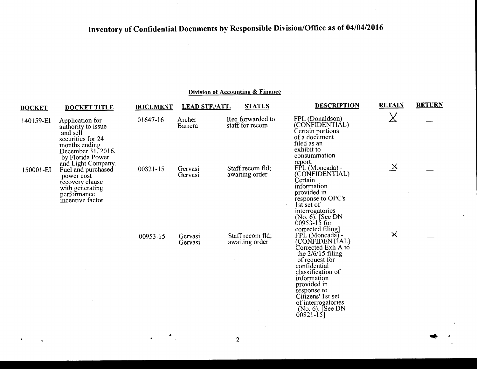| <b>DOCKET</b> | <b>DOCKET TITLE</b>                                                                                                               | <b>DOCUMENT</b> | <b>LEAD STF./ATT.</b> | <b>STATUS</b>                       | <b>DESCRIPTION</b>                                                                                                                                                                                                                                                | <b>RETAIN</b>     | <b>RETURN</b> |
|---------------|-----------------------------------------------------------------------------------------------------------------------------------|-----------------|-----------------------|-------------------------------------|-------------------------------------------------------------------------------------------------------------------------------------------------------------------------------------------------------------------------------------------------------------------|-------------------|---------------|
| 140159-EI     | Application for<br>authority to issue<br>and sell<br>securities for 24<br>months ending<br>December 31, 2016,<br>by Florida Power | 01647-16        | Archer<br>Barrera     | Req forwarded to<br>staff for recom | FPL (Donaldson) -<br>(CONFIDENTIAL)<br>Certain portions<br>of a document<br>filed as an<br>exhibit to<br>consummation                                                                                                                                             | $\chi$            |               |
| 150001-EI     | and Light Company.<br>Fuel and purchased<br>power cost<br>recovery clause<br>with generating<br>performance<br>incentive factor.  | 00821-15        | Gervasi<br>Gervasi    | Staff recom fld;<br>awaiting order  | report.<br>FPL (Moncada) -<br>(CONFIDENTÍAL)<br>Certain<br>information<br>provided in<br>response to OPC's<br>1st set of<br>interrogatories<br>(No. 6). [See DN<br>$00953 - 15$ for<br>corrected filing]                                                          | $\times$          |               |
|               |                                                                                                                                   | 00953-15        | Gervasi<br>Gervasi    | Staff recom fld;<br>awaiting order  | FPL (Moncada) -<br>(CONFIDENTIAL)<br>Corrected Exh A to<br>the $2/6/15$ filing<br>of request for<br>confidential<br>classification of<br>information<br>provided in<br>response to<br>Citizens' 1st set<br>of interrogatories<br>(No. 6). [See DN<br>$00821 - 15$ | $\mathbb{\times}$ |               |

 $\Delta \sim 10^{-11}$ 

 $\mathbf{r}$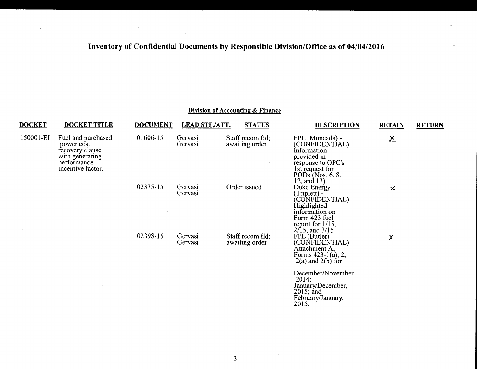$\Delta$ 

|               |                                                                                                            |                 |                       | Division of Accounting & Finance   |                                                                                                                                                 |               |               |
|---------------|------------------------------------------------------------------------------------------------------------|-----------------|-----------------------|------------------------------------|-------------------------------------------------------------------------------------------------------------------------------------------------|---------------|---------------|
| <b>DOCKET</b> | <b>DOCKET TITLE</b>                                                                                        | <b>DOCUMENT</b> | <b>LEAD STF./ATT.</b> | <b>STATUS</b>                      | <b>DESCRIPTION</b>                                                                                                                              | <b>RETAIN</b> | <b>RETURN</b> |
| 150001-EI     | Fuel and purchased<br>power cost<br>recovery clause<br>with generating<br>performance<br>incentive factor. | 01606-15        | Gervasi<br>Gervasi    | Staff recom fld;<br>awaiting order | FPL (Moncada) -<br>(CONFIDENTÍAL)<br>Information<br>provided in<br>response to OPC's<br>1st request for<br>PODs (Nos. 6, 8,<br>12, and 13).     | $\times$      |               |
|               |                                                                                                            | 02375-15        | Gervasi<br>Gervasi    | Order issued                       | Duke Energy<br>(Triplett) -<br>(CONFIDENTIAL)<br>Highlighted<br>information on<br>Form 423 fuel<br>report for $1/15$ ,<br>$2/15$ , and $3/15$ . | $\mathbf{x}$  |               |
|               |                                                                                                            | 02398-15        | Gervasi<br>Gervasi    | Staff recom fld;<br>awaiting order | FPL (Butler) -<br>(CONFIDENTIAL)<br>Àttachment A,<br>Forms 423-1(a), 2,<br>$2(a)$ and $2(b)$ for                                                | $\mathsf{X}$  |               |
|               |                                                                                                            |                 |                       |                                    | December/November,<br>2014;<br>January/December,<br>$2015$ ; and<br>February/January,<br>2015.                                                  |               |               |

 $\sim$ 

 $\mathcal{L}$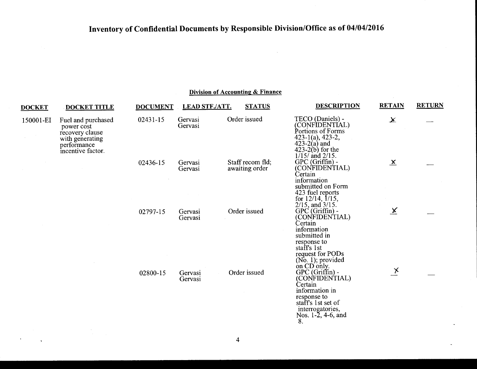| <b>DOCKET</b> | <b>DOCKET TITLE</b>                                                                                        | <b>DOCUMENT</b> | <b>LEAD STF./ATT.</b> | <b>STATUS</b>                      | <b>DESCRIPTION</b>                                                                                                                                                   | <b>RETAIN</b>            | <b>RETURN</b> |
|---------------|------------------------------------------------------------------------------------------------------------|-----------------|-----------------------|------------------------------------|----------------------------------------------------------------------------------------------------------------------------------------------------------------------|--------------------------|---------------|
| 150001-EI     | Fuel and purchased<br>power cost<br>recovery clause<br>with generating<br>performance<br>incentive factor. | 02431-15        | Gervasi<br>Gervasi    | Order issued                       | TECO (Daniels) -<br>(CONFIDENTIAL)<br>Portions of Forms<br>$423-1(a)$ , 423-2,<br>$423-2(a)$ and<br>$(423-2(b))$ for the<br>$1/15/$ and $2/15$ .                     | $\chi$                   |               |
|               |                                                                                                            | 02436-15        | Gervasi<br>Gervasi    | Staff recom fld;<br>awaiting order | GPC (Griffin) -<br>(CONFIDENTIAL)<br>Certain<br>information<br>submitted on Form<br>423 fuel reports<br>for $12/14$ , $1/15$ ,<br>$2/15$ , and $3/15$ .              | $\underline{\mathbf{x}}$ |               |
|               |                                                                                                            | 02797-15        | Gervasi<br>Gervasi    | Order issued                       | GPC (Griffin) -<br>(CONFIDENTIAL)<br>Certain<br>information<br>submitted in<br>response to<br>staff's 1st<br>request for PODs<br>$(No. 1)$ ; provided<br>on CD only. | $\underline{\mathsf{X}}$ |               |
|               |                                                                                                            | 02800-15        | Gervasi<br>Gervasi    | Order issued                       | GPC (Griffin) -<br>(CONFIDENTIAL)<br>Certain<br>information in<br>response to<br>staff's 1st set of<br>interrogatories,<br>Nos. 1-2, 4-6, and<br>8.                  | $\mathbf{X}$             |               |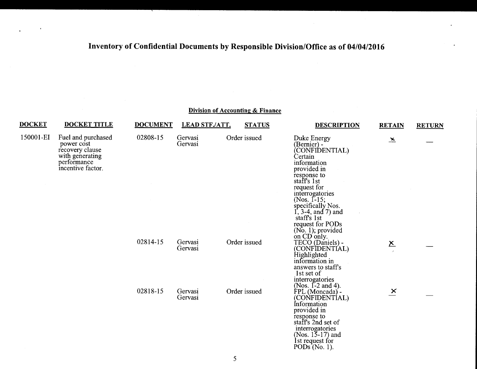### Division of Accounting & Finance DOCKET DOCKET TITLE DOCUMENT LEAD STF./ATT. STATUS DESCRIPTION RETAIN RETURN 150001-EI Fuel and purchased 02808-15 Gervasi Order issued Duke Energy<br>
power cost Cervasi Gervasi (Bernier) power cost<br>
power cost<br>
Fecovery clause<br>
With generating<br>
With generating<br>
CONFIDENTIAL)<br>
Certain<br>
Certain performance information information information information information information information in  $\frac{1}{2}$ provided in response to sta f's 1st request for (Nos. 1-15; specifically Nos.  $1, 3-4,$  and 7) and staffs 1st request for PODs  $( No. 1 )$ ; provided<br>on CD only. 02814-15 Gervasi Order issued TECO (Daniels) -<br>Gervasi Order issued TECO (Daniels) - $\underline{x}$ (CONFIDENTIAL)<br>Highlighted information in answers to staffs 1st set of interrogatories<br>(Nos. 1-2 and 4).  $0.2818-15$  Gervasi Order issued FPL (Moncada). Gervasi (CONFIDENTÍAL)<br>Information provided in response to sta f's 2nd set of (Nos.  $15-17$ ) and

Ist request for PODs $(No. 1)$ .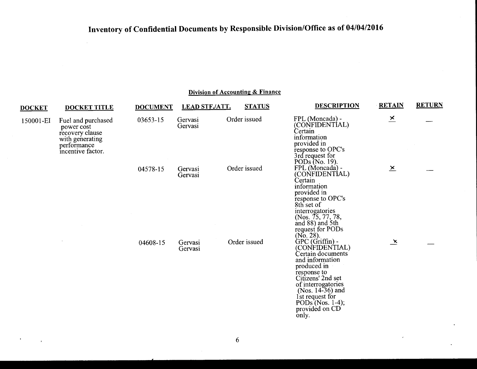$\bar{\tau}$ 

 $\mathbf{r}$ 

## **Division of Accounting & Finance**

| <b>DOCKET</b> | <b>DOCKET TITLE</b>                                                                                        | <b>DOCUMENT</b> | <b>LEAD STF./ATT.</b> | <b>STATUS</b> | <b>DESCRIPTION</b>                                                                                                                                                                                                                                           | <b>RETAIN</b>            | <b>RETURN</b> |
|---------------|------------------------------------------------------------------------------------------------------------|-----------------|-----------------------|---------------|--------------------------------------------------------------------------------------------------------------------------------------------------------------------------------------------------------------------------------------------------------------|--------------------------|---------------|
| 150001-EI     | Fuel and purchased<br>power cost<br>recovery clause<br>with generating<br>performance<br>incentive factor. | 03653-15        | Gervasi<br>Gervasi    | Order issued  | FPL (Moncada) -<br>(CONFIDENTIAL)<br>Certain<br>information<br>provided in<br>response to OPC's<br>3rd request for<br>PODs (No. 19).                                                                                                                         | $\overline{\mathbf{x}}$  |               |
|               |                                                                                                            | 04578-15        | Gervasi<br>Gervasi    | Order issued  | FPL (Moncada) -<br>(CONFIDENTIAL)<br>Certain<br>information<br>provided in<br>response to OPC's<br>8th set of<br>interrogatories<br>(Nos. 75, 77, 78,<br>and 88) and 5th<br>request for PODs                                                                 | $\underline{\mathsf{x}}$ |               |
|               |                                                                                                            | 04608-15        | Gervasi<br>Gervasi    | Order issued  | $(No. 28).$ GPC $(Griffin)$ -<br>(CONFIDENTIAL)<br>Certain documents<br>and information<br>produced in<br>response to<br>Citizens' 2nd set<br>of interrogatories<br>(Nos. $14-36$ ) and<br>1st request for<br>PODs $(Nos. 1-4)$ ;<br>provided on CD<br>only. | $\mathbf{x}$             |               |

 $\sim$ 

 $\bar{\lambda}$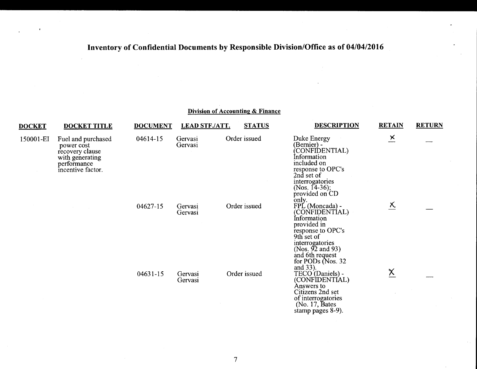| <b>DOCKET</b> | <b>DOCKET TITLE</b>                                                                                        | <b>DOCUMENT</b> | <b>LEAD STF./ATT.</b> | <b>STATUS</b> | <b>DESCRIPTION</b>                                                                                                                                                                                 | <b>RETAIN</b>           | <b>RETURN</b> |
|---------------|------------------------------------------------------------------------------------------------------------|-----------------|-----------------------|---------------|----------------------------------------------------------------------------------------------------------------------------------------------------------------------------------------------------|-------------------------|---------------|
| 150001-EI     | Fuel and purchased<br>power cost<br>recovery clause<br>with generating<br>performance<br>incentive factor. | 04614-15        | Gervasi<br>Gervasi    | Order issued  | Duke Energy<br>(Bernier) -<br>CONFIDENTIAL)<br>Information<br>included on<br>response to OPC's<br>2nd set of<br>interrogatories<br>(Nos. 14-36);<br>provided on CD<br>only.                        | $\overline{\mathsf{x}}$ |               |
|               |                                                                                                            | 04627-15        | Gervasi<br>Gervasi    | Order issued  | FPL (Moncada) -<br>(CONFIDENTÍAL)<br>Information<br>provided in<br>response to OPC's<br>9th set of<br>interrogatories<br>(Nos. $92$ and $93$ )<br>and 6th request<br>for PODs (Nos. 32<br>and 33). | $\overline{\chi}$       |               |
|               |                                                                                                            | 04631-15        | Gervasi<br>Gervasi    | Order issued  | TECO (Daniels) -<br>(CONFIDENTÍAL)<br>Answers to<br>Citizens 2nd set<br>of interrogatories<br>(No. 17, Bates)<br>stamp pages 8-9).                                                                 | $\underline{\chi}$      |               |

 $\overline{\phantom{0}}$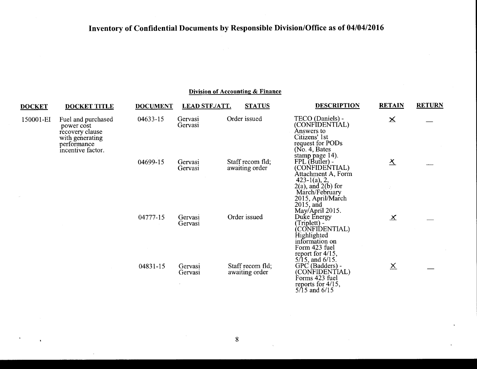### **Division of Accounting & Finance**

| <b>DOCKET</b> | <b>DOCKET TITLE</b>                                                                                        | <b>DOCUMENT</b>    | <b>LEAD STF./ATT.</b> | <b>STATUS</b>                                                                                                                                                    | <b>DESCRIPTION</b>                                                                                                                                                               | <b>RETAIN</b>       | <b>RETURN</b> |
|---------------|------------------------------------------------------------------------------------------------------------|--------------------|-----------------------|------------------------------------------------------------------------------------------------------------------------------------------------------------------|----------------------------------------------------------------------------------------------------------------------------------------------------------------------------------|---------------------|---------------|
| 150001-EI     | Fuel and purchased<br>power cost<br>recovery clause<br>with generating<br>performance<br>incentive factor. | 04633-15           | Gervasi<br>Gervasi    | Order issued                                                                                                                                                     | TECO (Daniels) -<br>(CONFIDENTIAL)<br>Answers to<br>Citizens' 1st<br>request for PODs<br>(No. 4, Bates)                                                                          | $\mathbf{\times}$   |               |
|               |                                                                                                            | 04699-15           | Gervasi<br>Gervasi    | Staff recom fld;<br>awaiting order                                                                                                                               | stamp page 14).<br>FPL (Butler) -<br>(CONFIDENTIAL)<br>Attachment A, Form<br>$423-1(a)$ , 2,                                                                                     | $\overline{\Delta}$ |               |
|               | 04777-15<br>04831-15                                                                                       | Gervasi<br>Gervasi | Order issued          | $2(a)$ , and $2(b)$ for<br>March/February<br>2015, April/March<br>$2015$ , and<br>May/April 2015.<br>Duke Energy<br>Triplett) -<br>(CONFIDENTIAL)<br>Highlighted | $\overline{\mathbf{X}}$                                                                                                                                                          |                     |               |
|               |                                                                                                            |                    | Gervasi<br>Gervasi    | Staff recom fld;<br>awaiting order                                                                                                                               | information on<br>Form 423 fuel<br>report for 4/15,<br>$5/15$ , and $6/15$ .<br>GPC (Badders) -<br>(CONFIDENTIAL)<br>Forms 423 fuel<br>reports for $4/15$ ,<br>$5/15$ and $6/15$ | $\times$            |               |

 $\mathbf{z}$ 

 $\epsilon$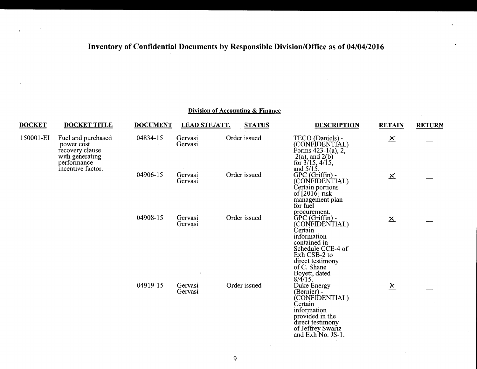|  | Division of Accounting & Finance |  |
|--|----------------------------------|--|
|  |                                  |  |

| <b>DOCKET</b> | <b>DOCKET TITLE</b>                                                                                        | <b>DOCUMENT</b>    | <b>LEAD STF./ATT.</b> | <b>STATUS</b>                                                                                          | <b>DESCRIPTION</b>                                                                                                                                                                            | <b>RETAIN</b>            | <b>RETURN</b> |
|---------------|------------------------------------------------------------------------------------------------------------|--------------------|-----------------------|--------------------------------------------------------------------------------------------------------|-----------------------------------------------------------------------------------------------------------------------------------------------------------------------------------------------|--------------------------|---------------|
| 150001-EI     | Fuel and purchased<br>power cost<br>recovery clause<br>with generating<br>performance<br>incentive factor. | 04834-15           | Gervasi<br>Gervasi    | Order issued                                                                                           | TECO (Daniels) -<br>(CONFIDENTÍAL)<br>Forms $423-1(a)$ , 2,<br>$2(a)$ , and $2(b)$<br>for $3/15$ , $4/15$ ,<br>and $5/15$ .                                                                   | $\overline{\mathsf{x}}$  |               |
|               | 04906-15                                                                                                   | Gervasi<br>Gervasi | Order issued          | GPC (Griffin) -<br>(CONFIDENTIAL)<br>Certain portions<br>of [2016] risk<br>management plan<br>for fuel | $\underline{\mathsf{X}}$                                                                                                                                                                      |                          |               |
|               |                                                                                                            | 04908-15           | Gervasi<br>Gervasi    | Order issued                                                                                           | procurement.<br>GPC (Griffin) -<br>(CONFIDENTIAL)<br>Certain<br>information<br>contained in<br>Schedule CCE-4 of<br>Exh CSB-2 to<br>direct testimony<br>of C. Shane                           | $\underline{\mathbf{x}}$ |               |
|               |                                                                                                            | 04919-15           | Gervasi<br>Gervasi    | Order issued                                                                                           | Boyett, dated<br>8/4/15.<br>Duke Energy<br>(Bernier) -<br>CONFIDENTIAL)<br>Certain<br>information<br>provided in the<br>direct testimony<br>of Jeffrey Swartz<br>and Exh <sup>No.</sup> JS-1. | $\underline{x}$          |               |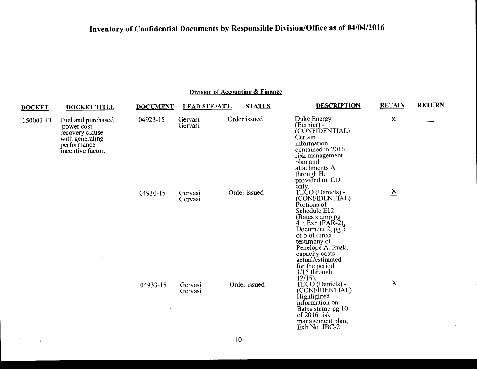| <b>DOCKET</b> | <b>DOCKET TITLE</b>                                                                                        | <b>DOCUMENT</b> | <b>LEAD STF./ATT.</b> | <b>STATUS</b> | <b>DESCRIPTION</b>                                                                                                                                                                                                                                                      | <b>RETAIN</b>           | <b>RETURN</b> |
|---------------|------------------------------------------------------------------------------------------------------------|-----------------|-----------------------|---------------|-------------------------------------------------------------------------------------------------------------------------------------------------------------------------------------------------------------------------------------------------------------------------|-------------------------|---------------|
| 150001-EI     | Fuel and purchased<br>power cost<br>recovery clause<br>with generating<br>performance<br>incentive factor. | 04923-15        | Gervasi<br>Gervasi    | Order issued  | Duke Energy<br>(Bernier) -<br>(CONFIDENTIAL)<br>Certain<br>information<br>contained in 2016<br>risk management<br>plan and<br>attachments A<br>through H;<br>provided on CD                                                                                             | 쓰                       |               |
|               |                                                                                                            | 04930-15        | Gervasi<br>Gervasi    | Order issued  | only.<br>TECO (Daniels) -<br>(CONFIDENTÍAL)<br>Portions of<br>Schedule E12<br>(Bates stamp pg)<br>41; Exh (PAR-2),<br>Document 2, pg 5<br>of 5 of direct<br>testimony of<br>Penelope A. Rusk,<br>capacity costs<br>actual/estimated<br>for the period<br>$1/15$ through | $\overline{\mathbf{v}}$ |               |
|               |                                                                                                            | 04933-15        | Gervasi<br>Gervasi    | Order issued  | $12/15$ ).<br>TECO (Daniels) -<br>(CONFIDENTIAL)<br>Highlighted<br>information on<br>Bates stamp pg 10<br>of $2016$ risk<br>management plan,<br>Exh No. JBC-2.                                                                                                          | $\overline{\chi}$       |               |

 $\hat{\mathbf{z}}$ 

 $\bullet$ 

 $\mathbf{v}$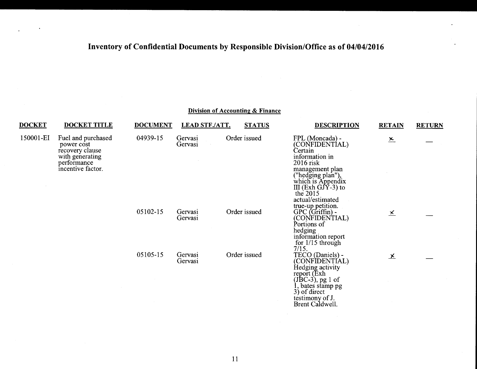| <b>DOCKET</b>                                                                                                           | <b>DOCKET TITLE</b> | <b>DOCUMENT</b>                | <b>LEAD STF./ATT.</b> | <b>STATUS</b>                                                                 | <b>DESCRIPTION</b>                                                                                                                                                                     | <b>RETAIN</b>     | <b>RETURN</b> |
|-------------------------------------------------------------------------------------------------------------------------|---------------------|--------------------------------|-----------------------|-------------------------------------------------------------------------------|----------------------------------------------------------------------------------------------------------------------------------------------------------------------------------------|-------------------|---------------|
| 150001-EI<br>Fuel and purchased<br>power cost<br>recovery clause<br>with generating<br>performance<br>incentive factor. |                     | 04939-15<br>Gervasi<br>Gervasi | Order issued          | FPL (Moncada) -<br>(CONFIDENTÍAL)<br>Certain<br>information in<br>$2016$ risk | $\underline{\mathbf{x}}$                                                                                                                                                               |                   |               |
|                                                                                                                         |                     |                                |                       |                                                                               | management plan<br>("hedging plan"),<br>which is Appendix<br>III (Exh GJY-3) to<br>the $2015$<br>actual/estimated                                                                      |                   |               |
|                                                                                                                         |                     | 05102-15                       | Gervasi<br>Gervasi    | Order issued                                                                  | true-up petition.<br>GPC (Griffin) -<br>(CONFIDENTIAL)<br>Portions of<br>hedging<br>information report<br>for $1/15$ through                                                           | $\times$          |               |
|                                                                                                                         |                     | 05105-15                       | Gervasi<br>Gervasi    | Order issued                                                                  | 7/15.<br>TECO (Daniels) -<br>(CONFIDENTÍAL)<br>Hedging activity<br>report (Exh.<br>$($ JBC-3 $)$ , pg 1 of<br>, bates stamp pg<br>$3)$ of direct<br>testimony of J.<br>Brent Caldwell. | $\overline{\chi}$ |               |

 $-4$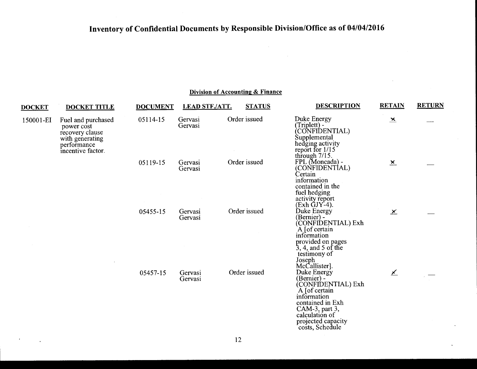$\sim 100$ 

### **Division of Accounting & Finance**

| <b>DOCKET</b> | <b>DOCKET TITLE</b>                                                                                        | <b>DOCUMENT</b> | <b>LEAD STF./ATT.</b> | <b>STATUS</b> | <b>DESCRIPTION</b>                                                                                                                                                                 | <b>RETAIN</b>            | <b>RETURN</b> |
|---------------|------------------------------------------------------------------------------------------------------------|-----------------|-----------------------|---------------|------------------------------------------------------------------------------------------------------------------------------------------------------------------------------------|--------------------------|---------------|
| 150001-EI     | Fuel and purchased<br>power cost<br>recovery clause<br>with generating<br>performance<br>incentive factor. | 05114-15        | Gervasi<br>Gervasi    | Order issued  | Duke Energy<br>(Triplett) -<br>(CONFIDENTIAL)<br>Supplemental<br>hedging activity<br>report for $1/15$                                                                             | $\geq$                   |               |
|               |                                                                                                            | 05119-15        | Gervasi<br>Gervasi    | Order issued  | through $7/15$ .<br>FPL (Moncada) -<br>(CONFIDENTIAL)<br>Certain<br>information<br>contained in the<br>fuel hedging<br>activity report<br>$(Exh$ $GJY-4)$ .                        | $\underline{\mathsf{x}}$ |               |
|               |                                                                                                            | 05455-15        | Gervasi<br>Gervasi    | Order issued  | Duke Energy<br>(Bernier) -<br>(CONFIDENTIAL) Exh<br>A [of certain]<br>information<br>provided on pages<br>$3, 4,$ and 5 of the<br>testimony of<br>Joseph<br>McCallister].          | $\times$                 |               |
|               |                                                                                                            | 05457-15        | Gervasi<br>Gervasi    | Order issued  | Duke Energy<br>(Bernier) -<br>(CONFIDENTIAL) Exh<br>A [of certain]<br>information<br>contained in Exh<br>CAM-3, part 3,<br>calculation of<br>projected capacity<br>costs, Schedule | ⊻                        |               |

 $\mathcal{A}$ 

 $\sim$  100  $\pm$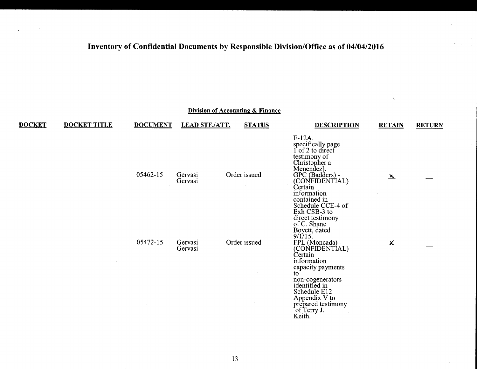$\mathbf{v}_i$ 

|               | <b>Division of Accounting &amp; Finance</b> |                 |                       |               |                                                                                                                                                                                                                                                                           |                                    |               |  |  |
|---------------|---------------------------------------------|-----------------|-----------------------|---------------|---------------------------------------------------------------------------------------------------------------------------------------------------------------------------------------------------------------------------------------------------------------------------|------------------------------------|---------------|--|--|
| <b>DOCKET</b> | <b>DOCKET TITLE</b>                         | <b>DOCUMENT</b> | <b>LEAD STF./ATT.</b> | <b>STATUS</b> | <b>DESCRIPTION</b>                                                                                                                                                                                                                                                        | <b>RETAIN</b>                      | <b>RETURN</b> |  |  |
|               |                                             | 05462-15        | Gervasi<br>Gervasi    | Order issued  | $E-12A$ ,<br>specifically page<br>1 of 2 to direct<br>testimony of<br>Christopher a<br>Menendez].<br>GPC (Badders) -<br>(CONFIDENTIAL)<br>Certain<br>information<br>contained in<br>Schedule CCE-4 of<br>Exh CSB-3 to<br>direct testimony<br>of C. Shane<br>Boyett, dated | $\mathbf{x}$                       |               |  |  |
|               |                                             | 05472-15        | Gervasi<br>Gervasi    | Order issued  | 9/1/15.<br>FPL (Moncada) -<br>(CONFIDENTIAL)<br>Certain<br>information<br>capacity payments<br>to.<br>non-cogenerators<br>identified in<br>Schedule E12<br>Appendix V to<br>prepared testimony<br>of Terry J.<br>Keith.                                                   | $\underline{\mathsf{x}}$<br>$\sim$ |               |  |  |

 $, \, \bullet$ ,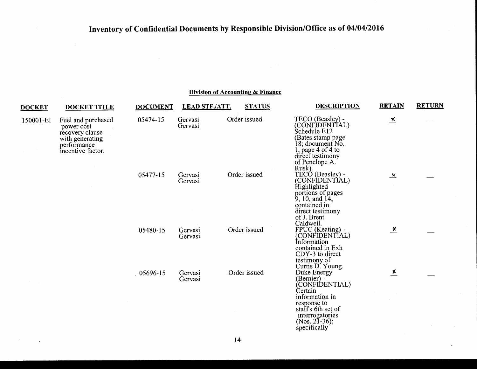$\alpha$  .

### Division of Accounting & Finance

| <b>DOCKET</b> | <b>DOCKET TITLE</b>                                                                                        | <b>DOCUMENT</b> | <b>LEAD STF./ATT.</b> | <b>STATUS</b> | <b>DESCRIPTION</b>                                                                                                                                                 | <b>RETAIN</b>           | <b>RETURN</b> |
|---------------|------------------------------------------------------------------------------------------------------------|-----------------|-----------------------|---------------|--------------------------------------------------------------------------------------------------------------------------------------------------------------------|-------------------------|---------------|
| 150001-EI     | Fuel and purchased<br>power cost<br>recovery clause<br>with generating<br>performance<br>incentive factor. | 05474-15        | Gervasi<br>Gervasi    | Order issued  | TECO (Beasley) -<br>(CONFIDENTIAL)<br>Schedule E12<br>(Bates stamp page<br>l 8; document No.<br>1, page 4 of 4 to<br>direct testimony<br>of Penelope A.<br>Rusk).  | $\overline{\mathbf{x}}$ |               |
|               |                                                                                                            | 05477-15        | Gervasi<br>Gervasi    | Order issued  | TECO (Beasley) -<br>(CONFIDENTIAL)<br>Highlighted<br>portions of pages<br>$9, 10,$ and $14,$<br>contained in<br>direct testimony<br>of J. Brent<br>Caldwell.       | $\mathbf{x}$            |               |
|               |                                                                                                            | 05480-15        | Gervasi<br>Gervasi    | Order issued  | FPUC (Keating) -<br>(CONFIDENTIAL)<br>Information<br>contained in Exh<br>CDY-3 to direct<br>testimony of<br>Curtis D. Young.                                       | $\frac{\chi}{\chi}$     |               |
|               |                                                                                                            | 05696-15        | Gervasi<br>Gervasi    | Order issued  | Duke Energy<br>(Bernier) -<br>(CONFIDENTIAL)<br>Certain<br>information in<br>response to<br>staff's 6th set of<br>interrogatories<br>(Nos. 21-36);<br>specifically | $\overline{\mathbf{x}}$ |               |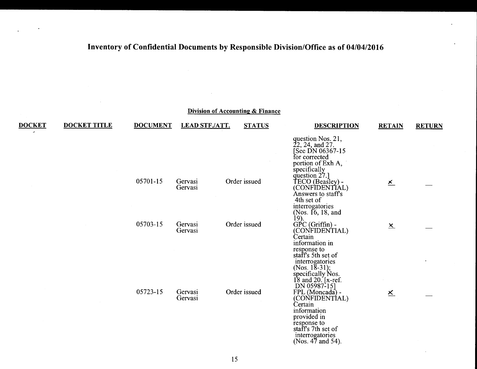|               |                     |                 |                       | <b>Division of Accounting &amp; Finance</b> |                                                                                                                                                           |                          |               |
|---------------|---------------------|-----------------|-----------------------|---------------------------------------------|-----------------------------------------------------------------------------------------------------------------------------------------------------------|--------------------------|---------------|
| <b>DOCKET</b> | <b>DOCKET TITLE</b> | <b>DOCUMENT</b> | <b>LEAD STF./ATT.</b> | <b>STATUS</b>                               | <b>DESCRIPTION</b>                                                                                                                                        | <b>RETAIN</b>            | <b>RETURN</b> |
|               |                     |                 |                       |                                             | question Nos. 21,<br>22, 24, and 27.<br>[See DN 06367-15]<br>for corrected<br>portion of Exh A,                                                           |                          |               |
|               |                     | 05701-15        | Gervasi<br>Gervasi    | Order issued                                | specifically<br>question 27.]<br>TECO (Beasley) -<br>(CONFIDENTIAL)<br>Answers to staff's<br>4th set of<br>interrogatories                                | $\underline{\mathsf{x}}$ |               |
|               |                     | 05703-15        | Gervasi<br>Gervasi    | Order issued                                | (Nos. $16, 18, and$ )<br>$\frac{19}{9}$ .<br>GPC (Griffin) -<br>(CONFIDENTIAL)<br>Certain<br>information in                                               | $\underline{x}$          |               |
|               |                     |                 |                       |                                             | response to<br>staff's 5th set of<br>interrogatories<br>(Nos. $18-31$ );<br>specifically Nos.<br>18 and 20. [x-ref.<br>DN 05987-15]                       |                          |               |
|               |                     | 05723-15        | Gervasi<br>Gervasi    | Order issued                                | FPL (Moncada) -<br>(CONFIDENTÍAL)<br>Certain<br>information<br>provided in<br>response to<br>staff's 7th set of<br>interrogatories<br>(Nos. $47$ and 54). | $\underline{\mathsf{x}}$ |               |

 $\sim$ 

 $\ddot{\phantom{a}}$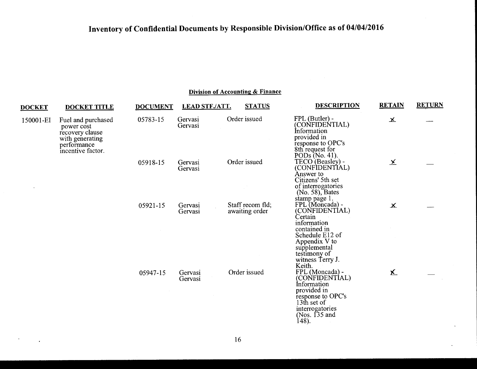| <b>DOCKET</b>                                                                                     | <b>DOCKET TITLE</b> | <b>DOCUMENT</b> | <b>LEAD STF./ATT.</b> | <b>STATUS</b>                      | <b>DESCRIPTION</b>                                                                                                                                                                             | <b>RETAIN</b>     | <b>RETURN</b> |
|---------------------------------------------------------------------------------------------------|---------------------|-----------------|-----------------------|------------------------------------|------------------------------------------------------------------------------------------------------------------------------------------------------------------------------------------------|-------------------|---------------|
| 150001-EI<br>power cost<br>recovery clause<br>with generating<br>performance<br>incentive factor. | Fuel and purchased  | 05783-15        | Gervasi<br>Gervasi    | Order issued                       | FPL (Butler) -<br>(CONFIDENTIAL)<br>Information<br>provided in<br>response to OPC's<br>8th request for<br>PODs (No. 41).                                                                       | $\mathbf{x}$      |               |
|                                                                                                   |                     | 05918-15        | Gervasi<br>Gervasi    | Order issued                       | TECO (Beasley) -<br>(CONFIDENTIAL)<br>Answer to<br>Citizens' 5th set<br>of interrogatories<br>(No. 58), Bates                                                                                  | $\overline{\chi}$ |               |
|                                                                                                   |                     | 05921-15        | Gervasi<br>Gervasi    | Staff recom fld;<br>awaiting order | stamp page 1.<br>FPL (Moncada) -<br>(CONFIDENTIAL)<br>Certain<br>information<br>contained in<br>Schedule E12 of<br>Appendix V to<br>supplemental<br>testimony of<br>witness Terry J.<br>Keith. | $\mathbf x$       |               |
|                                                                                                   |                     | 05947-15        | Gervasi<br>Gervasi    | Order issued                       | FPL (Moncada) -<br>(CONFIDENTIAL)<br>Information<br>provided in<br>response to OPC's<br>13th set of<br>interrogatories<br>(Nos. $135$ and<br>148).                                             | $\mathbf{x}$      |               |

 $\sim$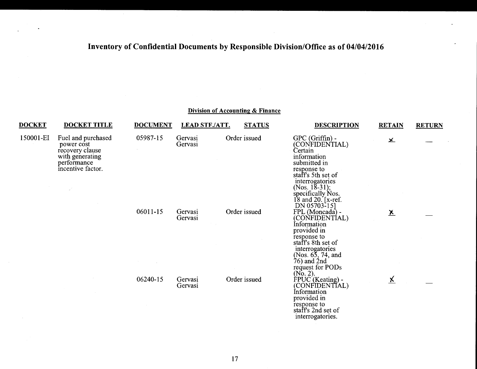#### **Division of Accounting & Finance DOCKET DOCKET TITLE DOCUMENT LEAD STF./ATT. STATUS DESCRIPTION RETAIN RETURN** 150001-EI Fuel and purchased 05987-15 Gervasi Order issued GPC (Griffin) -<br>
gower cost Gervasi Gervasi (CONFIDENTL <sup>~</sup> (CONFIDENTIAL)<br>Certain recovery clause executive covers clause that the cover clause executive covers of the cover of the cover of the cover of the cover of the cover of the cover of the cover of the cover of the cover of the cover of the cover with generating<br>performance submitted in incentive factor. response to<br>staff's 5th set of interrogatories  $(Nos. 18-31);$ specifically Nos. 18 and 20. [x-ref. DN 05703-15l 06011-15 Gervasi Order issued FPL (Moncada) -<br>Gervasi Order issued FPL (Moncada) -FPL (Moncada) - <br>(CONFIDENTIAL) 1<br>Information provided in response to staff's 8th set of (Nos.  $65, 74,$  and  $76$ ) and  $2nd$ request for PODs<br> $(No. 2)$ .  $^{(No. 2).}$  Gervasi Order issued PUC (Keating) - ∡ Gervasi film in the CONFIDENTIAL (CONFIDENTIAL) provided in response to staff's 2nd set of interrogatories.

,,..,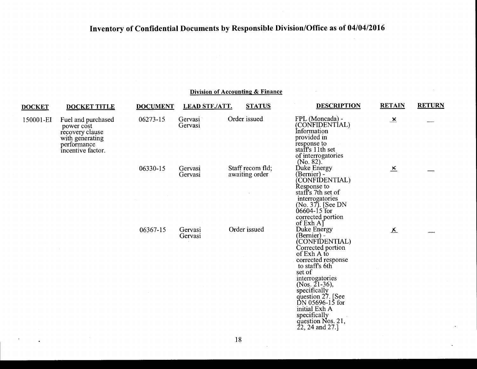#### Division of Accounting & Finance

| <b>DOCKET</b> | <b>DOCKET TITLE</b>                                                                                        | <b>DOCUMENT</b> | <b>LEAD STF./ATT.</b> | <b>STATUS</b>                      | <b>DESCRIPTION</b>                                                                                                                                                                                                                                                                                                | <b>RETAIN</b>           | <b>RETURN</b> |
|---------------|------------------------------------------------------------------------------------------------------------|-----------------|-----------------------|------------------------------------|-------------------------------------------------------------------------------------------------------------------------------------------------------------------------------------------------------------------------------------------------------------------------------------------------------------------|-------------------------|---------------|
| 150001-EI     | Fuel and purchased<br>power cost<br>recovery clause<br>with generating<br>performance<br>incentive factor. | 06273-15        | Gervasi<br>Gervasi    | Order issued                       | FPL (Moncada) -<br>(CONFIDENTIAL)<br>Information<br>provided in<br>response to<br>staff's 11th set<br>of interrogatories<br>(No. 82).                                                                                                                                                                             | $\overline{\mathbf{x}}$ |               |
|               |                                                                                                            | 06330-15        | Gervasi<br>Gervasi    | Staff recom fld;<br>awaiting order | Duke Energy<br>(Bernier) -<br>CONFIDENTIAL)<br>Response to<br>staff's 7th set of<br>interrogatories<br>(No. 37). [See DN<br>06604-15 for<br>corrected portion<br>of $Exh A$                                                                                                                                       | $\overline{\mathbf{x}}$ |               |
|               |                                                                                                            | 06367-15        | Gervasi<br>Gervasi    | Order issued                       | Duke Energy<br>(Bernier) -<br>(CONFIDENTIAL)<br>Corrected portion<br>of Exh A to<br>corrected response<br>to staff's 6th<br>set of<br>interrogatories<br>(Nos. $21-36$ ),<br>specifically<br>question 27. [See<br>$DN$ 05696-15 for<br>initial Exh A<br>specifically<br>question Nos. 21,<br>$22, 24$ and $27.$ ] | 조                       |               |

 $\ddot{\phantom{a}}$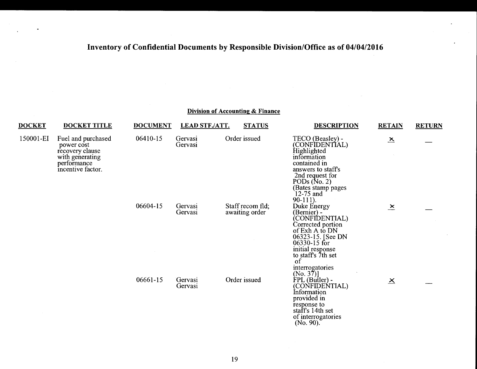| <b>DOCKET</b> | <b>DOCKET TITLE</b>                                                                                        | <b>DOCUMENT</b> | <b>LEAD STF./ATT.</b> | <b>STATUS</b>                      | <b>DESCRIPTION</b>                                                                                                                                                                                                             | <b>RETAIN</b>           | <b>RETURN</b> |
|---------------|------------------------------------------------------------------------------------------------------------|-----------------|-----------------------|------------------------------------|--------------------------------------------------------------------------------------------------------------------------------------------------------------------------------------------------------------------------------|-------------------------|---------------|
| 150001-EI     | Fuel and purchased<br>power cost<br>recovery clause<br>with generating<br>performance<br>incentive factor. | 06410-15        | Gervasi<br>Gervasi    | Order issued                       | TECO (Beasley) -<br>(CONFIDENTIAL)<br>Highlighted<br>information<br>contained in<br>answers to staff's<br>2nd request for<br>PODs $(N_0, 2)$<br>(Bates stamp pages<br>12-75 and<br>$90-111$ ).                                 | $\overline{\mathbf{x}}$ |               |
|               |                                                                                                            | 06604-15        | Gervasi<br>Gervasi    | Staff recom fld;<br>awaiting order | Duke Energy<br>(Bernier) -<br>CONFIDENTIAL)<br>Corrected portion<br>of Exh A to DN<br>06323-15. [See DN<br>06330-15 for<br>initial response<br>to staff's 7th set<br>$\overline{\text{of}}$<br>interrogatories<br>$(No. 37)$ ] | $\mathbf{x}$            |               |
|               |                                                                                                            | 06661-15        | Gervasi<br>Gervasi    | Order issued                       | FPL (Butler) -<br>(CONFIDENTIAL)<br>Information<br>provided in<br>response to<br>staff's 14th set<br>of interrogatories<br>$(No. 90)$ .                                                                                        | $\overline{\mathsf{X}}$ |               |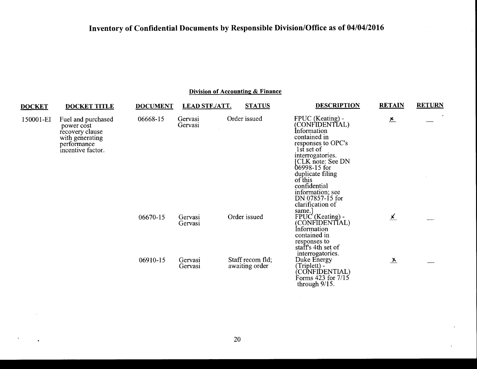| <b>DOCKET</b> | <b>DOCKET TITLE</b>                                                                                        | <b>DOCUMENT</b> | <b>LEAD STF./ATT.</b> | <b>STATUS</b>                      | <b>DESCRIPTION</b>                                                                                                                                                                                                                                                               | <b>RETAIN</b>                   | <b>RETURN</b>             |
|---------------|------------------------------------------------------------------------------------------------------------|-----------------|-----------------------|------------------------------------|----------------------------------------------------------------------------------------------------------------------------------------------------------------------------------------------------------------------------------------------------------------------------------|---------------------------------|---------------------------|
| 150001-EI     | Fuel and purchased<br>power cost<br>recovery clause<br>with generating<br>performance<br>incentive factor. | 06668-15        | Gervasi<br>Gervasi    | Order issued                       | FPUC (Keating) -<br>(CONFIDENTIAL)<br>Information<br>contained in<br>responses to OPC's<br>1st set of<br>interrogatories.<br>CLK note: See DN<br>06998-15 for<br>duplicate filing<br>of this<br>confidential<br>information; see<br>DN 07857-15 for<br>clarification of<br>same. | $\frac{\cancel{x}}{\cancel{x}}$ | $\mathbf{M}_{\mathrm{c}}$ |
|               |                                                                                                            | 06670-15        | Gervasi<br>Gervasi    | Order issued                       | $FPUC$ (Keating) -<br>(CONFIDENTIAL)<br>Information<br>contained in<br>responses to<br>staff's 4th set of<br>interrogatories.                                                                                                                                                    | <u>x</u>                        |                           |
|               |                                                                                                            | 06910-15        | Gervasi<br>Gervasi    | Staff recom fld;<br>awaiting order | Duke Energy<br>(Triplett) -<br>CONFIDENTIAL)<br>Forms 423 for 7/15<br>through 9/15.                                                                                                                                                                                              | $\lambda$                       |                           |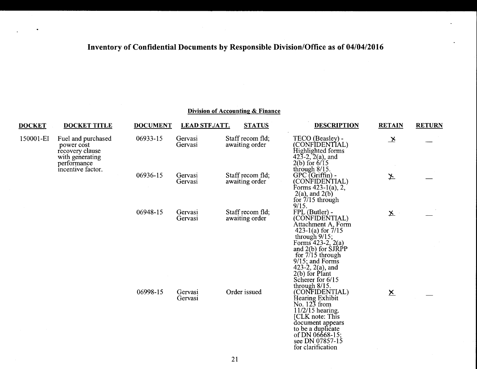#### Division of Accounting & Finance

| <b>DOCKET</b> | <b>DOCKET TITLE</b>                                                                                        | <b>DOCUMENT</b> | <b>LEAD STF./ATT.</b> | <b>STATUS</b>                      | <b>DESCRIPTION</b>                                                                                                                                                                                                                                                                | <b>RETAIN</b>            | <b>RETURN</b> |
|---------------|------------------------------------------------------------------------------------------------------------|-----------------|-----------------------|------------------------------------|-----------------------------------------------------------------------------------------------------------------------------------------------------------------------------------------------------------------------------------------------------------------------------------|--------------------------|---------------|
| 150001-EI     | Fuel and purchased<br>power cost<br>recovery clause<br>with generating<br>performance<br>incentive factor. | 06933-15        | Gervasi<br>Gervasi    | Staff recom fld;<br>awaiting order | TECO (Beasley) -<br>(CONFIDENTIAL)<br>$\hat{H}$ ighlighted forms<br>423-2, 2(a), and<br>$2(b)$ for $6/15$<br>through $8/15$ .                                                                                                                                                     | $\mathbf{x}$             |               |
|               |                                                                                                            | 06936-15        | Gervasi<br>Gervasi    | Staff recom fld;<br>awaiting order | $GPC$ (Griffin) -<br>(CONFIDENTIAL)<br>Forms $423-1(a)$ , 2,<br>$2(a)$ , and $2(b)$<br>for $7/15$ through<br>9/15.                                                                                                                                                                | ≱                        |               |
|               |                                                                                                            | 06948-15        | Gervasi<br>Gervasi    | Staff recom fld;<br>awaiting order | FPL (Butler) -<br>(CONFIDENTIAL)<br>Attachment A, Form<br>423-1(a) for $7/15$<br>through $9/15$ ;<br>Forms $423-2$ , $2(a)$<br>and $2(b)$ for $SIRPP$<br>for $7/15$ through<br>$9/15$ ; and Forms<br>423-2, $2(a)$ , and<br>$2(b)$ for Plant<br>Scherer for 6/15<br>through 8/15. | $\underline{\mathsf{X}}$ |               |
|               |                                                                                                            | 06998-15        | Gervasi<br>Gervasi    | Order issued                       | (CONFIDENTIAL)<br>Hearing Exhibit<br>No. $12\overline{3}$ from<br>11/2/15 hearing.<br>[CLK note: This<br>document appears<br>to be a duplicate<br>of DN 06668-15;<br>see DN 07857-15<br>for clarification                                                                         | $\underline{\mathsf{x}}$ |               |

 $\sim$   $\sim$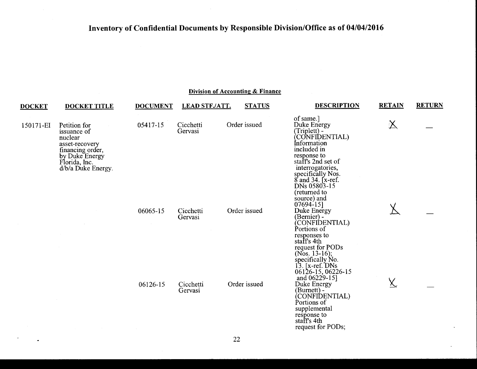| <b>DOCKET</b> | <b>DOCKET TITLE</b>                                                                                                                   | <b>DOCUMENT</b>            | <b>LEAD STF./ATT.</b> | <b>STATUS</b> | <b>DESCRIPTION</b>                                                                                                                                                                                                              | <b>RETAIN</b>      | <b>RETURN</b> |
|---------------|---------------------------------------------------------------------------------------------------------------------------------------|----------------------------|-----------------------|---------------|---------------------------------------------------------------------------------------------------------------------------------------------------------------------------------------------------------------------------------|--------------------|---------------|
| 150171-EI     | Petition for<br>issuance of<br>nuclear<br>asset-recovery<br>financing order,<br>by Duke Energy<br>Florida, Inc.<br>d/b/a Duke Energy. | 05417-15                   | Cicchetti<br>Gervasi  | Order issued  | of same.]<br>Duke Energy<br>(Triplett) -<br>(CONFIDENTIAL)<br>Information<br>included in<br>response to<br>staff's 2nd set of<br>interrogatories,<br>specifically Nos.<br>8 and 34. [x-ref.]<br>DNs 05803-15                    | $\bm{\mathsf{X}}$  |               |
|               |                                                                                                                                       | 06065-15                   | Cicchetti<br>Gervasi  | Order issued  | (returned to<br>source) and<br>07694-15]<br>Duke Energy<br>(Bernier) -<br>CONFIDENTIAL)<br>Portions of<br>responses to<br>staff's 4th<br>request for PODs                                                                       |                    |               |
|               | <b>Contract</b><br>$\sim 10^{-11}$                                                                                                    | 06126-15<br>$\sim 10^{-1}$ | Cicchetti<br>Gervasi  | Order issued  | (Nos. 13-16);<br>specifically No.<br>$13.$ [x-ref. DNs]<br>06126-15, 06226-15<br>and 06229-15]<br>Duke Energy<br>(Burnett) -<br>CONFIDENTIAL)<br>Portions of<br>supplemental<br>response to<br>staff's 4th<br>request for PODs; | $\underline{\chi}$ |               |

 $\mathbf{r}$ 

 $\bullet$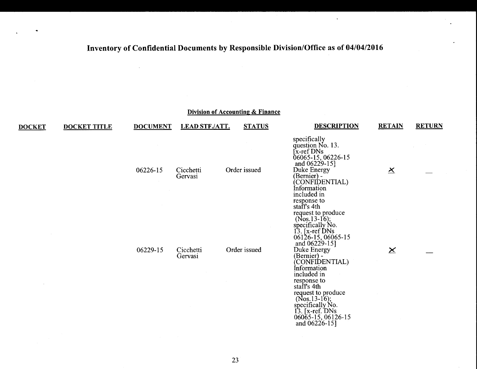|               |                     |                 |                       | Division of Accounting & Finance |                                                                                                                                                                                                                                                           |                          |               |
|---------------|---------------------|-----------------|-----------------------|----------------------------------|-----------------------------------------------------------------------------------------------------------------------------------------------------------------------------------------------------------------------------------------------------------|--------------------------|---------------|
| <b>DOCKET</b> | <b>DOCKET TITLE</b> | <b>DOCUMENT</b> | <b>LEAD STF./ATT.</b> | <b>STATUS</b>                    | <b>DESCRIPTION</b>                                                                                                                                                                                                                                        | <b>RETAIN</b>            | <b>RETURN</b> |
|               |                     | 06226-15        | Cicchetti<br>Gervasi  | Order issued                     | specifically<br>question No. 13.<br>[x-ref DNs]<br>06065-15, 06226-15<br>and $06229-15$ ]<br>Duke Energy<br>(Bernier) -<br>(CONFIDENTIAL)<br>Information<br>included in                                                                                   | $\mathbf{\underline{x}}$ |               |
|               |                     | 06229-15        | Cicchetti<br>Gervasi  | Order issued                     | response to<br>staff's 4th<br>request to produce<br>(Nos.13-16);<br>specifically No.<br>13. [x-ref DNs<br>06126-15, 06065-15<br>and 06229-15]<br>Duke Energy<br>(Bernier) -<br>(CONFIDENTIAL)<br>Information<br>included in<br>response to<br>staff's 4th | $\times$                 |               |
|               |                     |                 |                       |                                  | request to produce<br>(Nos.13-16);<br>specifically No.<br>13. [x-ref. DNs<br>06065-15, 06126-15<br>and $06226 - 15$ ]                                                                                                                                     |                          |               |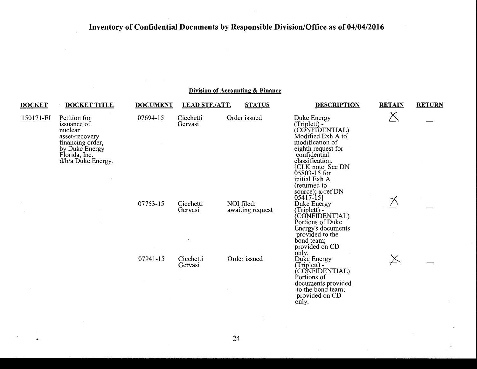### **Division of Accounting & Finance**

| <b>DOCKET</b> | <b>DOCKET TITLE</b>                                                                                                                   | <b>DOCUMENT</b> | <b>LEAD STF./ATT.</b> | <b>STATUS</b>                  | <b>DESCRIPTION</b>                                                                                                                                                                                                                        | <b>RETAIN</b> | <b>RETURN</b> |
|---------------|---------------------------------------------------------------------------------------------------------------------------------------|-----------------|-----------------------|--------------------------------|-------------------------------------------------------------------------------------------------------------------------------------------------------------------------------------------------------------------------------------------|---------------|---------------|
| 150171-EI     | Petition for<br>issuance of<br>nuclear<br>asset-recovery<br>financing order,<br>by Duke Energy<br>Florida, Inc.<br>d/b/a Duke Energy. | 07694-15        | Cicchetti<br>Gervasi  | Order issued                   | Duke Energy<br>(Triplett) -<br>(CONFIDENTIAL)<br>Modified Exh A to<br>modification of<br>eighth request for<br>confidential<br>classification.<br>[CLK note: See DN<br>05803-15 for<br>initial Exh A<br>(returned to<br>source); x-ref DN | △             |               |
|               |                                                                                                                                       | 07753-15        | Cicchetti<br>Gervasi  | NOI filed;<br>awaiting request | $05417-15$<br>Duke Energy<br>(Triplett) -<br>CONFIDENTIAL)<br>Portions of Duke<br>Energy's documents<br>provided to the<br>bond team;<br>provided on CD<br>only.                                                                          |               |               |
|               |                                                                                                                                       | 07941-15        | Cicchetti<br>Gervasi  | Order issued                   | Duke Energy<br>(Triplett) -<br>(CONFIDENTIAL)<br>Portions of<br>documents provided<br>to the bond team;<br>provided on CD<br>only.                                                                                                        |               |               |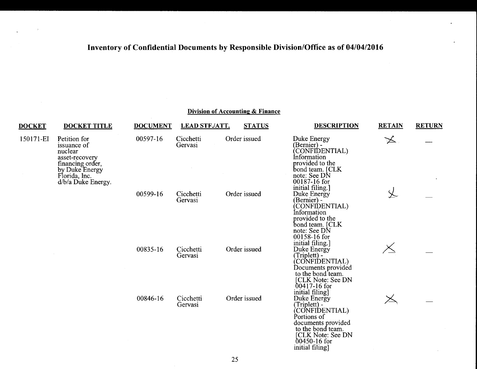### Division of Accounting & Finance

| <b>DOCKET</b> | <b>DOCKET TITLE</b>                                                                                                                   | <b>DOCUMENT</b> | <b>LEAD STF./ATT.</b> | <b>STATUS</b> | <b>DESCRIPTION</b>                                                                                                                                                       | <b>RETAIN</b>         | <b>RETURN</b> |
|---------------|---------------------------------------------------------------------------------------------------------------------------------------|-----------------|-----------------------|---------------|--------------------------------------------------------------------------------------------------------------------------------------------------------------------------|-----------------------|---------------|
| 150171-EI     | Petition for<br>issuance of<br>nuclear<br>asset-recovery<br>financing order,<br>by Duke Energy<br>Florida, Inc.<br>d/b/a Duke Energy. | 00597-16        | Cicchetti<br>Gervasi  | Order issued  | Duke Energy<br>(Bernier) -<br>(CONFIDENTIAL)<br>Information<br>provided to the<br>bond team. [CLK<br>note: See DN<br>00187-16 for                                        | $\blacktriangleright$ |               |
|               |                                                                                                                                       | 00599-16        | Cicchetti<br>Gervasi  | Order issued  | initial filing.]<br>Duke Energy<br>(Bernier) -<br>CONFIDENTIAL)<br>Information<br>provided to the<br>bond team. [CLK<br>note: See DN<br>00158-16 for<br>initial filing.] |                       |               |
|               |                                                                                                                                       | 00835-16        | Cicchetti<br>Gervasi  | Order issued  | Duke Energy<br>(Triplett) -<br>CONFIDENTIAL)<br>Documents provided<br>to the bond team.<br>[CLK Note: See DN<br>$00417 - 16$ for<br>initial filing]                      |                       |               |
|               |                                                                                                                                       | 00846-16        | Cicchetti<br>Gervasi  | Order issued  | Duke Energy<br>(Triplett) -<br>CONFIDENTIAL)<br>Portions of<br>documents provided<br>to the bond team.<br>[CLK Note: See DN<br>$00450 - 16$ for<br>initial filing]       | $\geq$                |               |

 $\sim$   $\sim$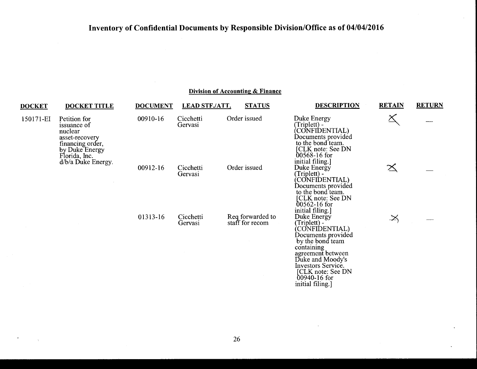| <b>DOCKET</b> | <b>DOCKET TITLE</b>                                                                                                                     | <b>DOCUMENT</b> | <b>LEAD STF./ATT.</b> | <b>STATUS</b>                       | <b>DESCRIPTION</b>                                                                                                                                                                                                                | <b>RETAIN</b>      | <b>RETURN</b> |
|---------------|-----------------------------------------------------------------------------------------------------------------------------------------|-----------------|-----------------------|-------------------------------------|-----------------------------------------------------------------------------------------------------------------------------------------------------------------------------------------------------------------------------------|--------------------|---------------|
| 150171-EI     | Petition for<br>issuance of<br>nuclear<br>asset-recovery<br>financing order,<br>by Duke Energy<br>Florida, Inc.<br>$d/b/a$ Duke Energy. | 00910-16        | Cicchetti<br>Gervasi  | Order issued                        | Duke Energy<br>(Triplett) -<br>CONFIDENTIAL)<br>Documents provided<br>to the bond team.<br>[CLK note: See DN<br>$00568 - 16$ for<br>initial filing.]                                                                              |                    |               |
|               |                                                                                                                                         | 00912-16        | Cicchetti<br>Gervasi  | Order issued                        | Duke Energy<br>(Triplett) -<br>CONFIDENTIAL)<br>Documents providéd<br>to the bond team.<br>[CLK note: See DN<br>$00562 - 16$ for<br>initial filing.]                                                                              | $\mathbb{X}% _{n}$ |               |
|               |                                                                                                                                         | 01313-16        | Cicchetti<br>Gervasi  | Req forwarded to<br>staff for recom | Duke Energy<br>(Triplett) -<br>(CONFIDENTIAL)<br>Documents provided<br>by the bond team<br>containing<br>agreement between<br>Duke and Moody's<br>Investors Service.<br>[CLK note: See DN<br>$00940 - 16$ for<br>initial filing.] | $\cancel{\asymp}$  |               |

 $\Delta$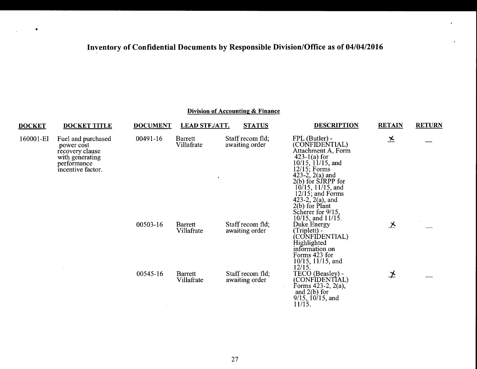•

#### Division of Accounting & Finance

| <b>DOCKET</b> | <b>DOCKET TITLE</b>                                                                                        | <b>DOCUMENT</b> | <b>LEAD STF./ATT.</b> | <b>STATUS</b>                      | <b>DESCRIPTION</b>                                                                                                                                                                                                                                                                                                         | <b>RETAIN</b>           | <b>RETURN</b> |
|---------------|------------------------------------------------------------------------------------------------------------|-----------------|-----------------------|------------------------------------|----------------------------------------------------------------------------------------------------------------------------------------------------------------------------------------------------------------------------------------------------------------------------------------------------------------------------|-------------------------|---------------|
| 160001-EI     | Fuel and purchased<br>power cost<br>recovery clause<br>with generating<br>performance<br>incentive factor. | 00491-16        | Barrett<br>Villafrate | Staff recom fld;<br>awaiting order | FPL (Butler) -<br>(CONFIDENTIAL)<br>Attachment A, Form<br>$423-1(a)$ for<br>$10/15$ , $11/15$ , and<br>$12/15$ ; Forms<br>423-2, $2(a)$ and<br>$2(b)$ for $S$ <i>JRPP</i> for<br>$10/15$ , $11/15$ , and<br>$12/15$ ; and Forms<br>423-2, $2(a)$ , and<br>$2(b)$ for Plant<br>Scherer for 9/15,<br>$10/15$ , and $11/15$ . | $\overline{\mathbf{x}}$ |               |
|               |                                                                                                            | 00503-16        | Barrett<br>Villafrate | Staff recom fld;<br>awaiting order | Duke Energy<br>(Triplett) -<br>(CONFIDENTIAL)<br>Highlighted<br>information on<br>Forms 423 for<br>$10/15$ , $11/15$ , and<br>12/15.                                                                                                                                                                                       | 乄                       |               |
|               |                                                                                                            | 00545-16        | Barrett<br>Villafrate | Staff recom fld;<br>awaiting order | TECO (Beasley) -<br>(CONFIDENTIAL)<br>Forms $423-2$ , $2(a)$ ,<br>and $2(b)$ for<br>$9/15$ , $10/15$ , and<br>11/15.                                                                                                                                                                                                       | 之                       |               |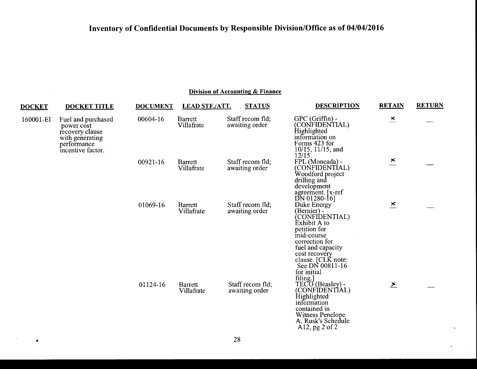| <b>DOCKET</b> | <b>DOCKET TITLE</b>                                                                                        | <b>DOCUMENT</b> | <b>LEAD STF./ATT.</b>        | <b>STATUS</b>                      | <b>DESCRIPTION</b>                                                                                                                                                                                                    | <b>RETAIN</b>             | <b>RETURN</b> |
|---------------|------------------------------------------------------------------------------------------------------------|-----------------|------------------------------|------------------------------------|-----------------------------------------------------------------------------------------------------------------------------------------------------------------------------------------------------------------------|---------------------------|---------------|
| 160001-EI     | Fuel and purchased<br>power cost<br>recovery clause<br>with generating<br>performance<br>incentive factor. | 00604-16        | Barrett<br>Villafrate        | Staff recom fld;<br>awaiting order | GPC (Griffin) -<br>(CONFIDENTIAL)<br>Highlighted<br>information on<br>Forms 423 for<br>$10/15$ , $11/15$ , and<br>12/15.                                                                                              | $\mathbf{x}$              |               |
|               |                                                                                                            | 00921-16        | <b>Barrett</b><br>Villafrate | Staff recom fld;<br>awaiting order | FPL (Moncada) -<br>(CONFIDENTÍAL)<br>Woodford project<br>drilling and<br>development<br>agreement. [x-ref]<br>$DN$ 01280-16]                                                                                          | $\geq$                    |               |
|               |                                                                                                            | 01069-16        | Barrett<br>Villafrate        | Staff recom fld;<br>awaiting order | Duke Energy<br>(Bernier) -<br>(CONFIDENTIAL)<br>Èxhibit A to<br>petition for<br>mid-course<br>correction for<br>fuel and capacity<br>cost recovery<br>clause. [CLK note:<br>See DN 00811-16<br>for initial<br>filing. | $\overline{\mathbf{x}}$   |               |
|               |                                                                                                            | 01124-16        | <b>Barrett</b><br>Villafrate | Staff recom fld;<br>awaiting order | TECO (Beasley) -<br>(CONFIDENTIAL)<br>Highlighted<br>information<br>contained in<br><b>Witness Penelope</b><br>A. Rusk's Schedule<br>A12, pg 2 of 2                                                                   | $\frac{\times}{\sqrt{2}}$ |               |

 $\sim$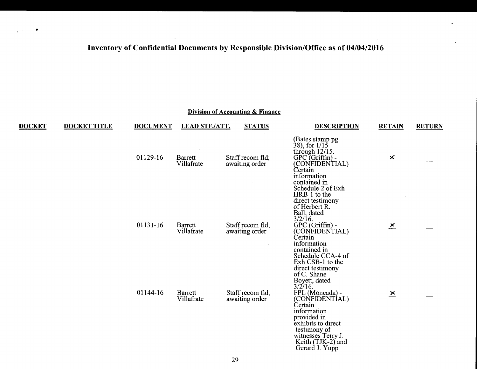•

|               |                     |                 |                              | Division of Accounting & Finance   |                                                                                                                                                                                                        |                         |               |
|---------------|---------------------|-----------------|------------------------------|------------------------------------|--------------------------------------------------------------------------------------------------------------------------------------------------------------------------------------------------------|-------------------------|---------------|
| <b>DOCKET</b> | <b>DOCKET TITLE</b> | <b>DOCUMENT</b> | <b>LEAD STF./ATT.</b>        | <b>STATUS</b>                      | <b>DESCRIPTION</b>                                                                                                                                                                                     | <b>RETAIN</b>           | <b>RETURN</b> |
|               |                     | 01129-16        | <b>Barrett</b><br>Villafrate | Staff recom fld;<br>awaiting order | (Bates stamp pg)<br>$38$ , for $1/15$<br>through $12/15$ .<br>$GPC$ (Griffin) -<br>(CONFIDENTIAL)<br>Certain<br>information<br>contained in<br>Schedule 2 of Exh                                       | $\geq$                  |               |
|               |                     | 01131-16        | <b>Barrett</b><br>Villafrate | Staff recom fld;<br>awaiting order | HRB-1 to the<br>direct testimony<br>of Herbert R.<br>Ball, dated<br>$3/2/16$ .<br>GPC (Griffin) -<br>(CONFIDENTIAL)<br>Certain<br>information<br>contained in<br>Schedule CCA-4 of<br>Exh CSB-1 to the | $\mathbf{x}$            |               |
|               |                     |                 |                              |                                    | direct testimony<br>of C. Shane<br>Boyett, dated                                                                                                                                                       |                         |               |
|               |                     | 01144-16        | <b>Barrett</b><br>Villafrate | Staff recom fld:<br>awaiting order | $3/2/16$ .<br>FPL (Moncada) -<br>(CONFIDENTÍAL)<br>Certain<br>information<br>provided in<br>exhibits to direct<br>testimony of<br>witnesses Terry J.<br>Keith (TJK-2) and<br>Gerard J. Yupp            | $\overline{\mathbf{x}}$ |               |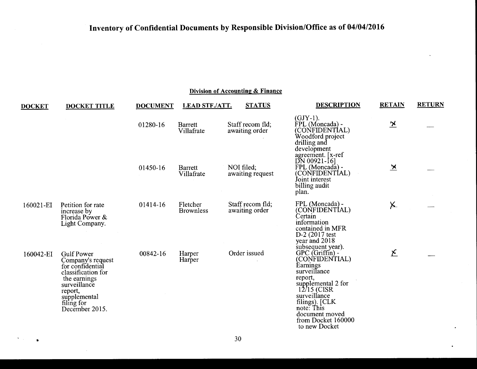| <b>DOCKET</b> | <b>DOCKET TITLE</b>                                                                                                                                                         | <b>DOCUMENT</b> | <b>LEAD STF./ATT.</b>        | <b>STATUS</b>                      | <b>DESCRIPTION</b>                                                                                                                                                                                                  | <b>RETAIN</b>           | <b>RETURN</b> |
|---------------|-----------------------------------------------------------------------------------------------------------------------------------------------------------------------------|-----------------|------------------------------|------------------------------------|---------------------------------------------------------------------------------------------------------------------------------------------------------------------------------------------------------------------|-------------------------|---------------|
|               |                                                                                                                                                                             | 01280-16        | <b>Barrett</b><br>Villafrate | Staff recom fld;<br>awaiting order | $(GJY-1)$ .<br>FPL (Moncada) -<br>(CONFIDENTIAL)<br>Woodford project<br>drilling and                                                                                                                                | $\overline{\mathbf{X}}$ |               |
|               |                                                                                                                                                                             | 01450-16        | <b>Barrett</b><br>Villafrate | NOI filed;<br>awaiting request     | development<br>agreement. [x-ref]<br>$DN$ 00921-16]<br>FPL (Moncada) -<br>(CONFIDENTIAL)<br>Joint interest<br>billing audit<br>plan.                                                                                | $\overline{\mathbf{x}}$ |               |
| 160021-EI     | Petition for rate<br>increase by<br>Florida Power &<br>Light Company.                                                                                                       | 01414-16        | Fletcher<br><b>Brownless</b> | Staff recom fld;<br>awaiting order | FPL (Moncada) -<br>(CONFIDENTIAL)<br>Certain<br>information<br>contained in MFR<br>D-2 (2017 test<br>year and 2018<br>subsequent year).                                                                             | $\times$                |               |
| 160042-EI     | <b>Gulf Power</b><br>Company's request<br>for confidential<br>classification for<br>the earnings<br>surveillance<br>report,<br>supplemental<br>filing for<br>December 2015. | 00842-16        | Harper<br>Harper             | Order issued                       | GPC (Griffin) - (CONFIDENTIAL)<br>Earnings<br>surveillance<br>report,<br>supplemental 2 for<br>12/15 (CISR<br>surveillance<br>filings). [CLK<br>note: This<br>document moved<br>from Docket 160000<br>to new Docket | $\mathbf{\Sigma}$       |               |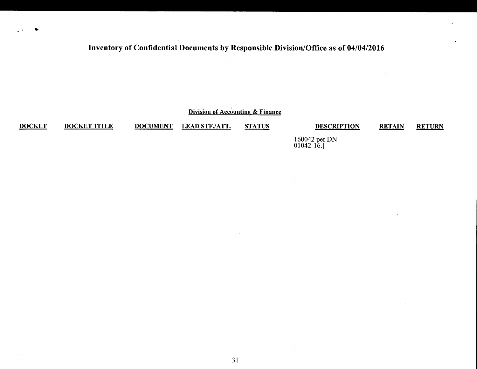Division of Accounting & Finance

**DOCKET** 

•

DOCKET TITLE DOCUMENT LEAD STF./ATT. STATUS DESCRIPTION

RETAIN RETURN

160042 per DN 01042-16.]